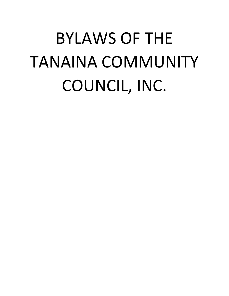# BYLAWS OF THE TANAINA COMMUNITY COUNCIL, INC.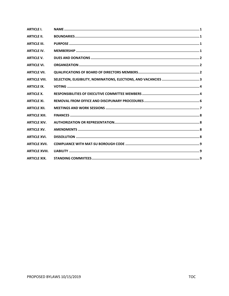| <b>ARTICLE I.</b>     |  |
|-----------------------|--|
| <b>ARTICLE II.</b>    |  |
| <b>ARTICLE III.</b>   |  |
| <b>ARTICLE IV.</b>    |  |
| <b>ARTICLE V.</b>     |  |
| <b>ARTICLE VI.</b>    |  |
| <b>ARTICLE VII.</b>   |  |
| <b>ARTICLE VIII.</b>  |  |
| <b>ARTICLE IX.</b>    |  |
| <b>ARTICLE X.</b>     |  |
| <b>ARTICLE XI.</b>    |  |
| <b>ARTICLE XII.</b>   |  |
| <b>ARTICLE XIII.</b>  |  |
| <b>ARTICLE XIV.</b>   |  |
| <b>ARTICLE XV.</b>    |  |
| <b>ARTICLE XVI.</b>   |  |
| <b>ARTICLE XVII.</b>  |  |
| <b>ARTICLE XVIII.</b> |  |
| <b>ARTICLE XIX.</b>   |  |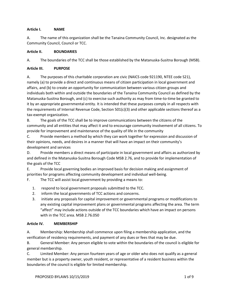## **Article I. NAME**

A. The name of this organization shall be the Tanaina Community Council, Inc. designated as the Community Council, Council or TCC.

#### **Article II. BOUNDARIES**

A. The boundaries of the TCC shall be those established by the Matanuska-Susitna Borough (MSB).

#### **Article III. PURPOSE**

A. The purposes of this charitable corporation are civic (NAICS code 921190, NTEE code S21), namely (a) to provide a direct and continuous means of citizen participation in local government and affairs, and (b) to create an opportunity for communication between various citizen groups and individuals both within and outside the boundaries of the Tanaina Community Council as defined by the Matanuska-Susitna Borough, and (c) to exercise such authority as may from time-to-time be granted to it by an appropriate governmental entity. It is intended that these purposes comply in all respects with the requirements of Internal Revenue Code, Section 501(c)(3) and other applicable sections thereof as a tax-exempt organization.

B. The goals of the TCC shall be to improve communications between the citizens of the community and all entities that may affect it and to encourage community involvement of all citizens. To provide for improvement and maintenance of the quality of life in the community

C. Provide members a method by which they can work together for expression and discussion of their opinions, needs, and desires in a manner that will have an impact on their community's development and services

D. Provide members a direct means of participate in local government and affairs as authorized by and defined in the Matanuska-Susitna Borough Code MSB 2.76, and to provide for implementation of the goals of the TCC

E. Provide local governing bodies an improved basis for decision making and assignment of priorities for programs affecting community development and individual well-being.

F. The TCC will assist local government by providing a means to:

- 1. respond to local government proposals submitted to the TCC.
- 2. inform the local governments of TCC actions and concerns.
- 3. initiate any proposals for capital improvement or governmental programs or modifications to any existing capital improvement plans or governmental programs affecting the area. The term "affect" may include actions outside of the TCC boundaries which have an impact on persons with in the TCC area. MSB 2.76.050

## **Article IV. MEMBERSHIP**

A. Membership: Membership shall commence upon filing a membership application, and the verification of residency requirements, and payment of any dues or fees that may be due.

B. General Member: Any person eligible to vote within the boundaries of the council is eligible for general membership.

C. Limited Member: Any person fourteen years of age or older who does not qualify as a general member but is a property owner, youth resident, or representative of a resident business within the boundaries of the council is eligible for limited membership.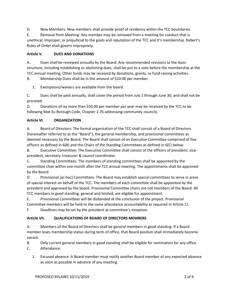D. New Members: New members shall provide proof of residency within the TCC boundaries.

E. Removal from Meeting: Any member may be removed from a meeting for conduct that is unethical, improper, or prejudicial to the goals and reputation of the TCC and it's membership. Robert's Rules of Order shall govern impropriety.

# **Article V. DUES AND DONATIONS**

A. Dues shall be reviewed annually by the Board. Any recommended revisions to the dues structure, including establishing or abolishing dues, shall be put to a vote before the membership at the TCC annual meeting. Other funds may be received by donations, grants, or fund-raising activities.

B. Membership Dues shall be in the amount of \$10.00 per member.

1. Exemptions/waivers are available from the board

C. Dues shall be paid annually, shall cover the period from July 1 through June 30, and shall not be prorated.

D. Donations of no more than \$50.00 per member per year may be received by the TCC to be following Mat-Su Borough Code, Chapter 2.76 addressing community councils.

# **Article VI. ORGANIZATION**

A. Board of Directors: The formal organization of the TCC shall consist of a Board of Directors (hereinafter referred to as the "Board"), the general membership, and provisional committees as deemed necessary by the Board. The Board shall consist of an Executive Committee comprised of five officers as defined in 6(B) and the Chairs of the Standing Committees as defined in 6(C) below.

B. Executive Committee: The Executive Committee shall consist of the officers of president, vicepresident, secretary, treasurer & council coordinator.

C. Standing Committees: The members of standing committees shall be appointed by the committee chair within one month after the TCC annual meeting. The appointments shall be approved by the Board.

D. Provisional (as hoc) Committees: The Board may establish special committees to serve in areas of special interest on behalf of the TCC. The members of each committee shall be appointed by the president and approved by the board. Provisional Committee chairs are not members of the Board. All TCC members in good standing, general and limited, are eligible for appointment.

E. Provisional Committees will be disbanded at the conclusion of the project. Provisional Committee members will be held to the same attendance accountability as required in Article 11.

F. Deadlines may be set by the president at committee's inception.

## **Article VII. QUALIFICATIONS OF BOARD OF DIRECTORS MEMBERS**

A. Members of the Board of Directors shall be general members in good standing. If a Board member loses membership status during term of office, that Board position shall immediately become vacant.

B. Only current general members in good standing shall be eligible for nomination for any office. C. Attendance:

1. Excused absence: A Board member must notify another Board member of any expected absence as soon as possible in advance of any meeting.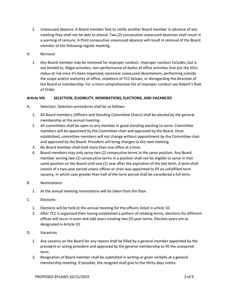- 2. Unexcused absence: A Board member fails to notify another Board member in advance of any meeting they shall not be able to attend. Two (2) consecutive unexcused absences shall result in a warning of censure. A third consecutive unexcused absence will result in removal of the Board member of the following regular meeting.
- D. Removal
	- 1. Any Board member may be removed for improper conduct. Improper conduct includes, but is not limited to, illegal activities, non-performance of duties of office activities that put the 501c status at risk once it's been organized, excessive unexcused absenteeism, performing outside the scope and/or authority of office, violations of TCC bylaws, or disregarding the direction of the Board or membership. For a more comprehensive list of improper conduct see Robert's Rule of Order.

#### **Article VIII. SELECTION, ELIGIBILITY, NOMINATIONS, ELECTIONS, AND VACANCIES**

- A. Selection: Selection procedures shall be as follows:
	- 1. All Board members (Officers and Standing Committee Chairs) shall be elected by the general membership at the annual meeting.
	- 2. All committees shall be open to any member in good standing wanting to serve. Committee members will be appointed by the Committee chair and approved by the Board. Once established, committee members will not change without appointment by the Committee chair and approved by the Board. President will bring changes to the next meeting.
	- 3. No Board member shall hold more than one office at a time.
	- 4. Board members may only serve two (2) consecutive terms in the same position. Any Board member serving two (2) consecutive terms in a position shall not be eligible to serve in that same position on the Board until one (1) year after the expiration of the last term. A term shall consist of a two-year period unless officer or chair was appointed to fill an unfulfilled term vacancy, in which case greater than half of the term period shall be considered a full term.
- B. Nominations:
	- 1. At the annual meeting nominations will be taken from the floor.
- C. Elections:
	- 1. Elections will be held at the annual meeting for the officers listed in article 10.
	- 2. After TCC is organized then having established a pattern of rotating terms, elections for different offices will occur in even and odd years creating two (2) year terms. Election years are as designated in Article 10.
- D. Vacancies
	- 1. Any vacancy on the Board for any reason shall be filled by a general member appointed by the president or acting president and approved by the general membership to fill the unexpired term.
	- 2. Resignation of Board member shall be submitted in writing or given verbally at a general membership meeting. If possible, the resigned shall give to the thirty-days notice.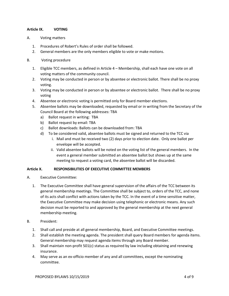#### **Article IX. VOTING**

- A. Voting matters
	- 1. Procedures of Robert's Rules of order shall be followed.
	- 2. General members are the only members eligible to vote or make motions.
- B. Voting procedure
	- 1. Eligible TCC members, as defined in Article 4 Membership, shall each have one vote on all voting matters of the community council.
	- 2. Voting may be conducted in person or by absentee or electronic ballot. There shall be no proxy voting.
	- 3. Voting may be conducted in person or by absentee or electronic ballot. There shall be no proxy voting
	- 4. Absentee or electronic voting is permitted only for Board member elections.
	- 5. Absentee ballots may be downloaded, requested by email or in writing from the Secretary of the Council Board at the following addresses: TBA
		- a) Ballot request in writing: TBA
		- b) Ballot request by email: TBA
		- c) Ballot downloads: Ballots can be downloaded from: TBA
		- d) To be considered valid, absentee ballots must be signed and returned to the TCC via
			- i. Mail and must be received two (2) days prior to election date. Only one ballot per envelope will be accepted.
			- ii. Valid absentee ballots will be noted on the voting list of the general members. In the event a general member submitted an absentee ballot but shows up at the same meeting to request a voting card, the absentee ballot will be discarded.

## **Article X. RESPONSIBILITIES OF EXECUTIVE COMMITTEE MEMBERS**

- A. Executive Committee:
	- 1. The Executive Committee shall have general supervision of the affairs of the TCC between its general membership meetings. The Committee shall be subject to, orders of the TCC, and none of its acts shall conflict with actions taken by the TCC. In the event of a time sensitive matter, the Executive Committee may make decision using telephonic or electronic means. Any such decision must be reported to and approved by the general membership at the next general membership meeting.
- B. President:
	- 1. Shall call and preside at all general membership, Board, and Executive Committee meetings.
	- 2. Shall establish the meeting agenda. The president shall query Board members for agenda items. General membership may request agenda items through any Board member.
	- 3. Shall maintain non-profit 501(c) status as required by law including obtaining and renewing insurance.
	- 4. May serve as an ex-officio member of any and all committees, except the nominating committee.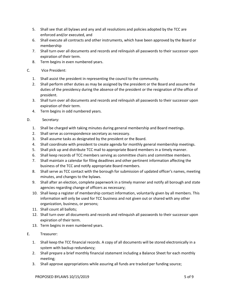- 5. Shall see that all bylaws and any and all resolutions and policies adopted by the TCC are enforced and/or executed, and
- 6. Shall execute all contracts and other instruments, which have been approved by the Board or membership
- 7. Shall turn over all documents and records and relinquish all passwords to their successor upon expiration of their term.
- 8. Term begins in even numbered years.
- C. Vice President:
	- 1. Shall assist the president in representing the council to the community.
	- 2. Shall perform other duties as may be assigned by the president or the Board and assume the duties of the presidency during the absence of the president or the resignation of the office of president.
	- 3. Shall turn over all documents and records and relinquish all passwords to their successor upon expiration of their term.
	- 4. Term begins in odd numbered years.
- D. Secretary:
	- 1. Shall be charged with taking minutes during general membership and Board meetings.
	- 2. Shall serve as correspondence secretary as necessary.
	- 3. Shall assume tasks as designated by the president or the Board.
	- 4. Shall coordinate with president to create agenda for monthly general membership meetings.
	- 5. Shall pick up and distribute TCC mail to appropriate Board members in a timely manner.
	- 6. Shall keep records of TCC members serving as committee chairs and committee members.
	- 7. Shall maintain a calendar for filing deadlines and other pertinent information affecting the business of the TCC and notify appropriate Board members.
	- 8. Shall serve as TCC contact with the borough for submission of updated officer's names, meeting minutes, and changes to the bylaws.
	- 9. Shall after an election, complete paperwork in a timely manner and notify all borough and state agencies regarding change of officers as necessary;
	- 10. Shall keep a register of membership contact information, voluntarily given by all members. This information will only be used for TCC business and not given out or shared with any other organization, business, or persons;
	- 11. Shall count all ballots;
	- 12. Shall turn over all documents and records and relinquish all passwords to their successor upon expiration of their term.
	- 13. Term begins in even numbered years.
- E. Treasurer:
	- 1. Shall keep the TCC financial records. A copy of all documents will be stored electronically in a system with backup redundancy;
	- 2. Shall prepare a brief monthly financial statement including a Balance Sheet for each monthly meeting;
	- 3. Shall approve appropriations while assuring all funds are tracked per funding source;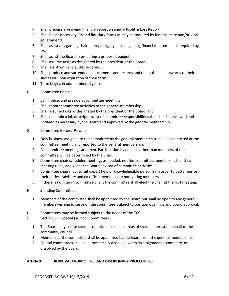- 4. Shall prepare a year-end financial report an annual Profit & Loss Report;
- 5. Shall file all necessary IRS and fiduciary forms as may be required by federal, state and/or local governments;
- 6. Shall assist any gaming chair in preparing a year-end gaming financial statement as required by law;
- 7. Shall assist the Board in preparing a proposed budget;
- 8. Shall assume tasks as designated by the president or the Board;
- 9. Shall assist with any audits ordered;
- 10. Shall produce and surrender all documents and records and relinquish all passwords to their successor upon expiration of their term.
- 11. Term begins in odd numbered years.
- F. Committee Chairs:
	- 1. Call, notice, and preside at committee meetings
	- 2. Shall report committee activities to the general membership
	- 3. Shall assume tasks as designated by the president or the Board, and
	- 4. Shall maintain a job description/list of committee responsibilities that shall be reviewed and updated as necessary by the Board and approved by the general membership.
- G. Committee General Powers
	- 1. Only business assigned to the committee by the general membership shall be conducted at the committee meeting and reported to the general membership.
	- 2. All committee meetings are open. Participation by persons other than members of the committee will be determined by the Chair.
	- 3. Committee chair schedules meetings as needed, notifies committee members, establishes meeting rules, and keeps the Board advised of committee activities.
	- 4. Committee chair may recruit expert help or knowledgeable person(s) in order to better perform their duties. Advisory and ex-officio members are non-voting members.
	- 5. If there is no interim committee chair, the committee shall elect the chair at the first meeting.
- H. Standing Committees:
	- 1. Members of the committee shall be appointed by the Board but shall be open to any general members wishing to serve on the committee, subject to position openings and Board approval.
- I. Committees may be formed subject to the needs of the TCC.
- J. Section 3 Special (ad hoc) Committees:
	- 1. The Board may create special committees to act in areas of special interest on behalf of the community council.
	- 2. Members of the committee shall be appointed by the Board from the general membership.
	- 3. Special committees shall be automatically dissolved when its assignment is complete, or dissolved by the board.

#### **Article XI. REMOVAL FROM OFFICE AND DISCIPLINARY PROCEDURES**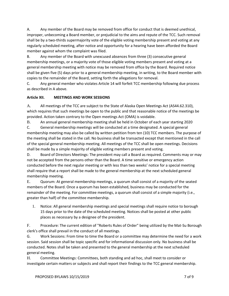A. Any member of the Board may be removed from office for conduct that is deemed unethical, improper, unbecoming a Board member, or prejudicial to the aims and repute of the TCC. Such removal shall be by a two-thirds supermajority vote of the eligible voting membership present and voting at any regularly scheduled meeting, after notice and opportunity for a hearing have been afforded the Board member against whom the complaint was filed.

B. Any member of the Board with unexcused absences from three (3) consecutive general membership meetings, or a majority vote of those eligible voting members present and voting at a general membership meeting with notice may be removed from office by the Board. Required notice shall be given five (5) days prior to a general membership meeting, in writing, to the Board member with copies to the remainder of the Board, setting forth the allegations for removal.

C. Any general member who violates Article 14 will forfeit TCC membership following due process as described in A above.

# **Article XII. MEETINGS AND WORK SESSIONS**

A. All meetings of the TCC are subject to the State of Alaska Open Meetings Act (AS44.62.310), which requires that such meetings be open to the public and that reasonable notice of the meetings be provided. Action taken contrary to the Open meetings Act (OMA) is voidable.

B. An annual general membership meeting shall be held in October of each year starting 2020

C. General membership meetings will be conducted at a time designated. A special general membership meeting may also be called by written petition from ten (10) TCC members. The purpose of the meeting shall be stated in the call. No business shall be transacted except that mentioned in the call of the special general membership meeting. All meetings of the TCC shall be open meetings. Decisions shall be made by a simple majority of eligible voting members present and voting.

D. Board of Directors Meetings: The president may call a Board as required. Comments may or may not be accepted from the persons other than the Board. A time sensitive or emergency action conducted before the next regular meeting or with less than two weeks' notice for a special meeting shall require that a report shall be made to the general membership at the next scheduled general membership meeting.

E. Quorum: At general membership meetings, a quorum shall consist of a majority of the seated members of the Board. Once a quorum has been established, business may be conducted for the remainder of the meeting. For committee meetings, a quorum shall consist of a simple majority (i.e., greater than half) of the committee membership.

1. Notice: All general membership meetings and special meetings shall require notice to borough 15 days prior to the date of the scheduled meeting. Notices shall be posted at other public places as necessary by a designee of the president.

F. Procedure: The current edition of "Roberts Rules of Order" being utilized by the Mat-Su Borough clerk's office shall prevail in the conduct of all meetings.

G. Work Sessions: From time to time the Board or a committee may determine the need for a work session. Said session shall be topic specific and for informational discussion only. No business shall be conducted. Notes shall be taken and presented to the general membership at the next scheduled general meeting.

H. Committee Meetings: Committees, both standing and ad hoc, shall meet to consider or investigate certain matters or subjects and shall report their findings to the TCC general membership.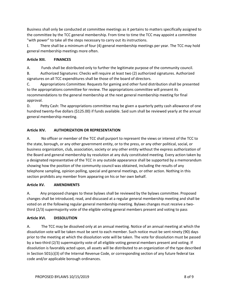Business shall only be conducted at committee meetings as it pertains to matters specifically assigned to the committee by the TCC general membership. From time to time the TCC may appoint a committee "with power" to take all the steps necessary to carry out its instructions.

I. There shall be a minimum of four (4) general membership meetings per year. The TCC may hold general membership meetings more often.

# **Article XIII. FINANCES**

A. Funds shall be distributed only to further the legitimate purpose of the community council.

B. Authorized Signatures: Checks will require at least two (2) authorized signatures. Authorized signatures on all TCC expenditures shall be those of the board of directors.

C. Appropriations Committee: Requests for gaming and other fund distribution shall be presented to the appropriations committee for review. The appropriations committee will present its recommendations to the general membership at the next general membership meeting for final approval.

D. Petty Cash: The appropriations committee may be given a quarterly petty cash allowance of one hundred twenty-five dollars (\$125.00) if funds available. Said sum shall be reviewed yearly at the annual general membership meeting.

# **Article XIV. AUTHORIZATION OR REPRESENTATION**

A. No officer or member of the TCC shall purport to represent the views or interest of the TCC to the state, borough, or any other government entity, or to the press, or any other political, social, or business organization, club, association, society or any other entity without the express authorization of the Board and general membership by resolution at any duly constituted meeting. Every action taken by a designated representative of the TCC in any outside appearance shall be supported by a memorandum showing how the position of the community council was obtained, including the results of any telephone sampling, opinion polling, special and general meetings, or other action. Nothing in this section prohibits any member from appearing on his or her own behalf.

## **Article XV. AMENDMENTS**

A. Any proposed changes to these bylaws shall be reviewed by the bylaws committee. Proposed changes shall be introduced, read, and discussed at a regular general membership meeting and shall be voted on at the following regular general membership meeting. Bylaws changes must receive a twothird (2/3) supermajority vote of the eligible voting general members present and voting to pass

## **Article XVI. DISSOLUTION**

A. The TCC may be dissolved only at an annual meeting. Notice of an annual meeting at which the dissolution vote will be taken must be sent to each member. Such notice must be sent ninety (90) days prior to the meeting at which the dissolution vote will be taken. The vote for dissolution must be passed by a two-third (2/3) supermajority vote of all eligible voting general members present and voting. If dissolution is favorably acted upon, all assets will be distributed to an organization of the type described in Section 501(c)(3) of the Internal Revenue Code, or corresponding section of any future federal tax code and/or applicable borough ordinances.